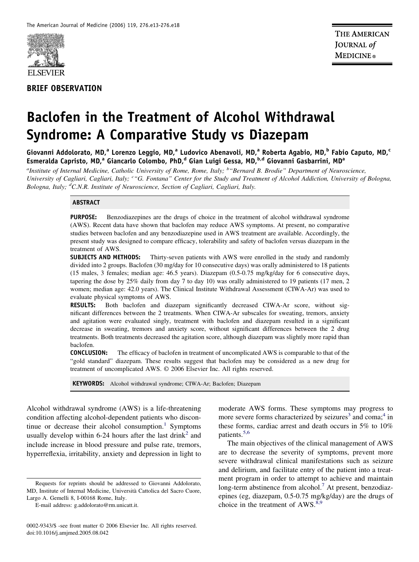

# **BRIEF OBSERVATION**

# **Baclofen in the Treatment of Alcohol Withdrawal Syndrome: A Comparative Study vs Diazepam**

Giovanni Addolorato, MD,<sup>a</sup> Lorenzo Leggio, MD,<sup>a</sup> Ludovico Abenavoli, MD,<sup>a</sup> Roberta Agabio, MD,<sup>b</sup> Fabio Caputo, MD,<sup>c</sup> Esmeralda Capristo, MD,<sup>a</sup> Giancarlo Colombo, PhD,<sup>d</sup> Gian Luigi Gessa, MD,<sup>b,d</sup> Giovanni Gasbarrini, MD<sup>a</sup>

*a Institute of Internal Medicine, Catholic University of Rome, Rome, Italy; <sup>b</sup> "Bernard B. Brodie" Department of Neuroscience, University of Cagliari, Cagliari, Italy; <sup>c</sup> "G. Fontana" Center for the Study and Treatment of Alcohol Addiction, University of Bologna, Bologna, Italy; <sup>d</sup> C.N.R. Institute of Neuroscience, Section of Cagliari, Cagliari, Italy.*

## **ABSTRACT**

**PURPOSE:** Benzodiazepines are the drugs of choice in the treatment of alcohol withdrawal syndrome (AWS). Recent data have shown that baclofen may reduce AWS symptoms. At present, no comparative studies between baclofen and any benzodiazepine used in AWS treatment are available. Accordingly, the present study was designed to compare efficacy, tolerability and safety of baclofen versus diazepam in the treatment of AWS.

**SUBJECTS AND METHODS:** Thirty-seven patients with AWS were enrolled in the study and randomly divided into 2 groups. Baclofen (30 mg/day for 10 consecutive days) was orally administered to 18 patients (15 males, 3 females; median age: 46.5 years). Diazepam (0.5-0.75 mg/kg/day for 6 consecutive days, tapering the dose by 25% daily from day 7 to day 10) was orally administered to 19 patients (17 men, 2 women; median age: 42.0 years). The Clinical Institute Withdrawal Assessment (CIWA-Ar) was used to evaluate physical symptoms of AWS.

**RESULTS:** Both baclofen and diazepam significantly decreased CIWA-Ar score, without significant differences between the 2 treatments. When CIWA-Ar subscales for sweating, tremors, anxiety and agitation were evaluated singly, treatment with baclofen and diazepam resulted in a significant decrease in sweating, tremors and anxiety score, without significant differences between the 2 drug treatments. Both treatments decreased the agitation score, although diazepam was slightly more rapid than baclofen.

**CONCLUSION:** The efficacy of baclofen in treatment of uncomplicated AWS is comparable to that of the "gold standard" diazepam. These results suggest that baclofen may be considered as a new drug for treatment of uncomplicated AWS. © 2006 Elsevier Inc. All rights reserved.

**KEYWORDS:** Alcohol withdrawal syndrome; CIWA-Ar; Baclofen; Diazepam

Alcohol withdrawal syndrome (AWS) is a life-threatening condition affecting alcohol-dependent patients who discontinue or decrease their alcohol consumption. $<sup>1</sup>$  Symptoms</sup> usually develop within 6-24 hours after the last drink<sup>2</sup> and include increase in blood pressure and pulse rate, tremors, hyperreflexia, irritability, anxiety and depression in light to

moderate AWS forms. These symptoms may progress to more severe forms characterized by seizures<sup>3</sup> and coma;<sup>4</sup> in these forms, cardiac arrest and death occurs in 5% to 10% patients.<sup>5,6</sup>

The main objectives of the clinical management of AWS are to decrease the severity of symptoms, prevent more severe withdrawal clinical manifestations such as seizure and delirium, and facilitate entry of the patient into a treatment program in order to attempt to achieve and maintain long-term abstinence from alcohol.<sup>7</sup> At present, benzodiazepines (eg, diazepam, 0.5-0.75 mg/kg/day) are the drugs of choice in the treatment of AWS.<sup>8,9</sup>

Requests for reprints should be addressed to Giovanni Addolorato, MD, Institute of Internal Medicine, Università Cattolica del Sacro Cuore, Largo A. Gemelli 8, I-00168 Rome, Italy.

E-mail address: g.addolorato@rm.unicatt.it.

<sup>0002-9343/\$ -</sup>see front matter © 2006 Elsevier Inc. All rights reserved. doi:10.1016/j.amjmed.2005.08.042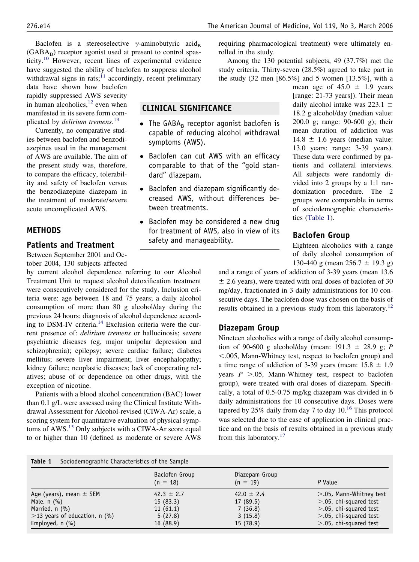Baclofen is a stereoselective  $\gamma$ -aminobutyric acid<sub>B</sub>  $(GABA_B)$  receptor agonist used at present to control spasticity.<sup>10</sup> However, recent lines of experimental evidence have suggested the ability of baclofen to suppress alcohol withdrawal signs in rats;<sup>11</sup> accordingly, recent preliminary

data have shown how baclofen rapidly suppressed AWS severity in human alcoholics, $12$  even when manifested in its severe form complicated by *delirium tremens*. [13](#page-5-0)

Currently, no comparative studies between baclofen and benzodiazepines used in the management of AWS are available. The aim of the present study was, therefore, to compare the efficacy, tolerability and safety of baclofen versus the benzodiazepine diazepam in the treatment of moderate/severe acute uncomplicated AWS.

# **METHODS**

# **Patients and Treatment**

Between September 2001 and October 2004, 130 subjects affected

by current alcohol dependence referring to our Alcohol Treatment Unit to request alcohol detoxification treatment were consecutively considered for the study. Inclusion criteria were: age between 18 and 75 years; a daily alcohol consumption of more than 80 g alcohol/day during the previous 24 hours; diagnosis of alcohol dependence according to DSM-IV criteria.<sup>14</sup> Exclusion criteria were the current presence of: *delirium tremens* or hallucinosis; severe psychiatric diseases (eg, major unipolar depression and schizophrenia); epilepsy; severe cardiac failure; diabetes mellitus; severe liver impairment; liver encephalopathy; kidney failure; neoplastic diseases; lack of cooperating relatives; abuse of or dependence on other drugs, with the exception of nicotine.

Patients with a blood alcohol concentration (BAC) lower than 0.1 g/L were assessed using the Clinical Institute Withdrawal Assessment for Alcohol-revised (CIWA-Ar) scale, a scoring system for quantitative evaluation of physical symptoms of AWS.<sup>15</sup> Only subjects with a CIWA-Ar score equal to or higher than 10 (defined as moderate or severe AWS

**CLINICAL SIGNIFICANCE**

symptoms (AWS).

dard" diazepam.

tween treatments.

safety and manageability.

• The GABA $_B$  receptor agonist baclofen is capable of reducing alcohol withdrawal

● Baclofen can cut AWS with an efficacy comparable to that of the "gold stan-

● Baclofen and diazepam significantly decreased AWS, without differences be-

• Baclofen may be considered a new drug for treatment of AWS, also in view of its

study criteria. Thirty-seven (28.5%) agreed to take part in the study (32 men [86.5%] and 5 women [13.5%], with a mean age of  $45.0 \pm 1.9$  years

rolled in the study.

[range: 21-73 years]). Their mean daily alcohol intake was 223.1  $\pm$ 18.2 g alcohol/day (median value: 200.0 g; range: 90-600 g); their mean duration of addiction was  $14.8 \pm 1.6$  years (median value: 13.0 years; range: 3-39 years). These data were confirmed by patients and collateral interviews. All subjects were randomly divided into 2 groups by a 1:1 randomization procedure. The 2 groups were comparable in terms of sociodemographic characteristics (Table 1).

# **Baclofen Group**

Eighteen alcoholics with a range of daily alcohol consumption of 130-440 g (mean  $256.7 \pm 19.3$  g)

and a range of years of addiction of 3-39 years (mean 13.6  $\pm$  2.6 years), were treated with oral doses of baclofen of 30 mg/day, fractionated in 3 daily administrations for 10 consecutive days. The baclofen dose was chosen on the basis of results obtained in a previous study from this laboratory.<sup>12</sup>

# **Diazepam Group**

Nineteen alcoholics with a range of daily alcohol consumption of 90-600 g alcohol/day (mean:  $191.3 \pm 28.9$  g; *P* -.005, Mann-Whitney test, respect to baclofen group) and a time range of addiction of 3-39 years (mean:  $15.8 \pm 1.9$ years  $P > 0.05$ , Mann-Whitney test, respect to baclofen group), were treated with oral doses of diazepam. Specifically, a total of 0.5-0.75 mg/kg diazepam was divided in 6 daily administrations for 10 consecutive days. Doses were tapered by 25% daily from day 7 to day 10[.16](#page-5-0) This protocol was selected due to the ease of application in clinical practice and on the basis of results obtained in a previous study from this laboratory.<sup>17</sup>

### **Table 1** Sociodemographic Characteristics of the Sample

|                                  | Baclofen Group<br>$(n = 18)$ | Diazepam Group<br>$(n = 19)$ | P Value                    |
|----------------------------------|------------------------------|------------------------------|----------------------------|
| Age (years), mean $\pm$ SEM      | 42.3 $\pm$ 2.7               | 42.0 $\pm$ 2.4               | $>$ .05, Mann-Whitney test |
| Male, $n$ $(\% )$                | 15(83.3)                     | 17(89.5)                     | $>$ .05, chi-squared test  |
| Married, $n$ (%)                 | 11(61.1)                     | 7(36.8)                      | $>$ .05, chi-squared test  |
| $>$ 13 years of education, n (%) | 5(27.8)                      | 3(15.8)                      | $>$ .05, chi-squared test  |
| Employed, $n$ $(\%)$             | 16(88.9)                     | 15(78.9)                     | $>$ .05, chi-squared test  |

requiring pharmacological treatment) were ultimately en-

Among the 130 potential subjects, 49 (37.7%) met the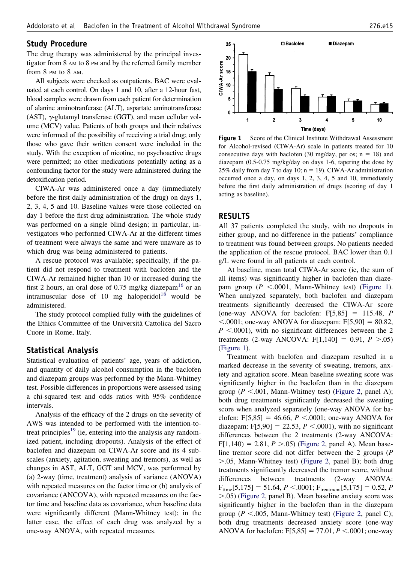# <span id="page-2-0"></span>**Study Procedure**

The drug therapy was administered by the principal investigator from 8 AM to 8 PM and by the referred family member from 8 PM to 8 AM.

All subjects were checked as outpatients. BAC were evaluated at each control. On days 1 and 10, after a 12-hour fast, blood samples were drawn from each patient for determination of alanine aminotranferase (ALT), aspartate aminotransferase (AST),  $\gamma$ -glutamyl transferase (GGT), and mean cellular volume (MCV) value. Patients of both groups and their relatives were informed of the possibility of receiving a trial drug; only those who gave their written consent were included in the study. With the exception of nicotine, no psychoactive drugs were permitted; no other medications potentially acting as a confounding factor for the study were administered during the detoxification period.

CIWA-Ar was administered once a day (immediately before the first daily administration of the drug) on days 1, 2, 3, 4, 5 and 10. Baseline values were those collected on day 1 before the first drug administration. The whole study was performed on a single blind design; in particular, investigators who performed CIWA-Ar at the different times of treatment were always the same and were unaware as to which drug was being administered to patients.

A rescue protocol was available; specifically, if the patient did not respond to treatment with baclofen and the CIWA-Ar remained higher than 10 or increased during the first 2 hours, an oral dose of 0.75 mg/kg diazepam<sup>16</sup> or an intramuscular dose of 10 mg haloperidol<sup>18</sup> would be administered.

The study protocol complied fully with the guidelines of the Ethics Committee of the Università Cattolica del Sacro Cuore in Rome, Italy.

# **Statistical Analysis**

Statistical evaluation of patients' age, years of addiction, and quantity of daily alcohol consumption in the baclofen and diazepam groups was performed by the Mann-Whitney test. Possible differences in proportions were assessed using a chi-squared test and odds ratios with 95% confidence intervals.

Analysis of the efficacy of the 2 drugs on the severity of AWS was intended to be performed with the intention-totreat principles<sup>19</sup> (ie, entering into the analysis any randomized patient, including dropouts). Analysis of the effect of baclofen and diazepam on CIWA-Ar score and its 4 subscales (anxiety, agitation, sweating and tremors), as well as changes in AST, ALT, GGT and MCV, was performed by (a) 2-way (time, treatment) analysis of variance (ANOVA) with repeated measures on the factor time or (b) analysis of covariance (ANCOVA), with repeated measures on the factor time and baseline data as covariance, when baseline data were significantly different (Mann-Whitney test); in the latter case, the effect of each drug was analyzed by a one-way ANOVA, with repeated measures.



**Figure 1** Score of the Clinical Institute Withdrawal Assessment for Alcohol-revised (CIWA-Ar) scale in patients treated for 10 consecutive days with baclofen (30 mg/day, per os;  $n = 18$ ) and diazepam (0.5-0.75 mg/kg/day on days 1-6, tapering the dose by 25% daily from day 7 to day 10;  $n = 19$ ). CIWA-Ar administration occurred once a day, on days 1, 2, 3, 4, 5 and 10, immediately before the first daily administration of drugs (scoring of day 1 acting as baseline).

# **RESULTS**

All 37 patients completed the study, with no dropouts in either group, and no difference in the patients' compliance to treatment was found between groups. No patients needed the application of the rescue protocol. BAC lower than 0.1 g/L were found in all patients at each control.

At baseline, mean total CIWA-Ar score (ie, the sum of all items) was significantly higher in baclofen than diazepam group  $(P \le 0.0001$ , Mann-Whitney test) (Figure 1). When analyzed separately, both baclofen and diazepam treatments significantly decreased the CIWA-Ar score (one-way ANOVA for baclofen:  $F[5,85] = 115.48$ , *P*  $< .0001$ ; one-way ANOVA for diazepam: F[5,90] = 80.82,  $P \leq 0.0001$ , with no significant differences between the 2 treatments (2-way ANCOVA:  $F[1,140] = 0.91$ ,  $P > 0.05$ ) (Figure 1).

Treatment with baclofen and diazepam resulted in a marked decrease in the severity of sweating, tremors, anxiety and agitation score. Mean baseline sweating score was significantly higher in the baclofen than in the diazepam group ( $P < .001$ , Mann-Whitney test) [\(Figure 2,](#page-3-0) panel A); both drug treatments significantly decreased the sweating score when analyzed separately (one-way ANOVA for baclofen:  $F[5,85] = 46.66$ ,  $P \le 0.0001$ ; one-way ANOVA for diazepam:  $F[5,90] = 22.53$ ,  $P \lt 0.0001$ ), with no significant differences between the 2 treatments (2-way ANCOVA:  $F[1,140] = 2.81, P > 0.05$  [\(Figure 2,](#page-3-0) panel A). Mean baseline tremor score did not differ between the 2 groups (*P* .05, Mann-Whitney test) [\(Figure 2,](#page-3-0) panel B); both drug treatments significantly decreased the tremor score, without differences between treatments (2-way ANOVA:  $F_{time}[5,175] = 51.64, P < .0001; F_{treatment}[5,175] = 0.52, P$ .05) [\(Figure 2,](#page-3-0) panel B). Mean baseline anxiety score was significantly higher in the baclofen than in the diazepam group ( $P < .005$ , Mann-Whitney test) [\(Figure 2,](#page-3-0) panel C); both drug treatments decreased anxiety score (one-way ANOVA for baclofen:  $F[5,85] = 77.01, P < .0001$ ; one-way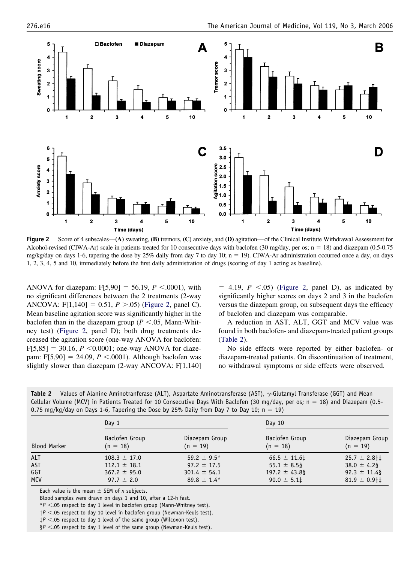<span id="page-3-0"></span>

**Figure 2** Score of 4 subscales—**(A)** sweating, **(B)** tremors, **(C)** anxiety, and **(D)** agitation— of the Clinical Institute Withdrawal Assessment for Alcohol-revised (CIWA-Ar) scale in patients treated for 10 consecutive days with baclofen (30 mg/day, per os;  $n = 18$ ) and diazepam (0.5-0.75) mg/kg/day on days 1-6, tapering the dose by 25% daily from day 7 to day 10;  $n = 19$ ). CIWA-Ar administration occurred once a day, on days 1, 2, 3, 4, 5 and 10, immediately before the first daily administration of drugs (scoring of day 1 acting as baseline).

ANOVA for diazepam:  $F[5,90] = 56.19$ ,  $P < .0001$ ), with no significant differences between the 2 treatments (2-way ANCOVA: F[1,140] = 0.51,  $P > 0.05$ ) (Figure 2, panel C). Mean baseline agitation score was significantly higher in the baclofen than in the diazepam group ( $P < 0.05$ , Mann-Whitney test) (Figure 2, panel D); both drug treatments decreased the agitation score (one-way ANOVA for baclofen:  $F[5,85] = 30.16, P \le 0.0001$ ; one-way ANOVA for diazepam:  $F[5,90] = 24.09$ ,  $P < .0001$ ). Although baclofen was slightly slower than diazepam (2-way ANCOVA: F[1,140]

 $=$  4.19,  $P \le 0.05$ ) (Figure 2, panel D), as indicated by significantly higher scores on days 2 and 3 in the baclofen versus the diazepam group, on subsequent days the efficacy of baclofen and diazepam was comparable.

A reduction in AST, ALT, GGT and MCV value was found in both baclofen- and diazepam-treated patient groups (Table 2).

No side effects were reported by either baclofen- or diazepam-treated patients. On discontinuation of treatment, no withdrawal symptoms or side effects were observed.

| Table 2 Values of Alanine Aminotranferase (ALT), Aspartate Aminotransferase (AST), $\gamma$ -Glutamyl Transferase (GGT) and Mean  |
|-----------------------------------------------------------------------------------------------------------------------------------|
| Cellular Volume (MCV) in Patients Treated for 10 Consecutive Days With Baclofen (30 mg/day, per os; $n = 18$ ) and Diazepam (0.5- |
| 0.75 mg/kg/day on Days 1-6, Tapering the Dose by 25% Daily from Day 7 to Day 10; $n = 19$ )                                       |

|                     | Day $1$          |                  | Day $10$          |                             |
|---------------------|------------------|------------------|-------------------|-----------------------------|
| <b>Blood Marker</b> | Baclofen Group   | Diazepam Group   | Baclofen Group    | Diazepam Group              |
|                     | $(n = 18)$       | $(n = 19)$       | $(n = 18)$        | $(n = 19)$                  |
| <b>ALT</b>          | $108.3 \pm 17.0$ | 59.2 $\pm$ 9.5*  | $66.5 \pm 11.6$   | $25.7 \pm 2.8$ †‡           |
| <b>AST</b>          | $112.1 \pm 18.1$ | $97.2 \pm 17.5$  | 55.1 $\pm$ 8.5§   | $38.0 \pm 4.2$ §            |
| GGT                 | $367.2 \pm 95.0$ | $301.4 \pm 54.1$ | 197.2 $\pm$ 43.8§ | $92.3 \pm 11.4$             |
| <b>MCV</b>          | $97.7 \pm 2.0$   | $89.8 \pm 1.4*$  | $90.0 \pm 5.11$   | $81.9 \pm 0.9$ <sup>+</sup> |

Each value is the mean  $\pm$  SEM of *n* subjects.

Blood samples were drawn on days 1 and 10, after a 12-h fast.

 $*P < .05$  respect to day 1 level in baclofen group (Mann-Whitney test).

 $\dagger$ *P* <.05 respect to day 10 level in baclofen group (Newman-Keuls test).

 $\sharp P$  <.05 respect to day 1 level of the same group (Wilcoxon test).

 $\S P$  <.05 respect to day 1 level of the same group (Newman-Keuls test).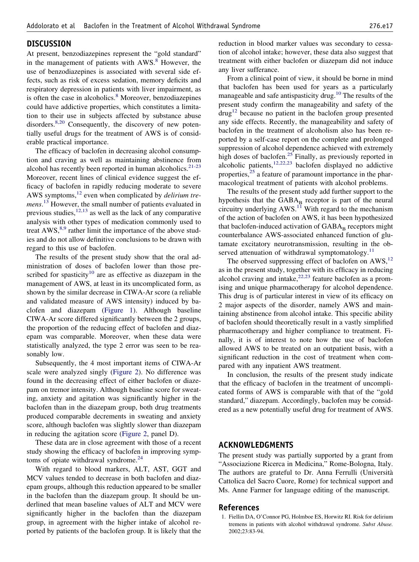# <span id="page-4-0"></span>**DISCUSSION**

At present, benzodiazepines represent the "gold standard" in the management of patients with AWS.<sup>8</sup> However, the use of benzodiazepines is associated with several side effects, such as risk of excess sedation, memory deficits and respiratory depression in patients with liver impairment, as is often the case in alcoholics.<sup>8</sup> Moreover, benzodiazepines could have addictive properties, which constitutes a limitation to their use in subjects affected by substance abuse disorders.<sup>8,20</sup> Consequently, the discovery of new potentially useful drugs for the treatment of AWS is of considerable practical importance.

The efficacy of baclofen in decreasing alcohol consumption and craving as well as maintaining abstinence from alcohol has recently been reported in human alcoholics. $2^{1-23}$ Moreover, recent lines of clinical evidence suggest the efficacy of baclofen in rapidly reducing moderate to severe AWS symptoms[,12](#page-5-0) even when complicated by *delirium tremens*. [13](#page-5-0) However, the small number of patients evaluated in previous studies,  $12,13$  as well as the lack of any comparative analysis with other types of medication commonly used to treat  $AWS$ ,<sup>8,9</sup> rather limit the importance of the above studies and do not allow definitive conclusions to be drawn with regard to this use of baclofen.

The results of the present study show that the oral administration of doses of baclofen lower than those prescribed for spasticity<sup>10</sup> are as effective as diazepam in the management of AWS, at least in its uncomplicated form, as shown by the similar decrease in CIWA-Ar score (a reliable and validated measure of AWS intensity) induced by baclofen and diazepam [\(Figure 1\)](#page-2-0). Although baseline CIWA-Ar score differed significantly between the 2 groups, the proportion of the reducing effect of baclofen and diazepam was comparable. Moreover, when these data were statistically analyzed, the type 2 error was seen to be reasonably low.

Subsequently, the 4 most important items of CIWA-Ar scale were analyzed singly [\(Figure 2\)](#page-3-0). No difference was found in the decreasing effect of either baclofen or diazepam on tremor intensity. Although baseline score for sweating, anxiety and agitation was significantly higher in the baclofen than in the diazepam group, both drug treatments produced comparable decrements in sweating and anxiety score, although baclofen was slightly slower than diazepam in reducing the agitation score [\(Figure 2,](#page-3-0) panel D).

These data are in close agreement with those of a recent study showing the efficacy of baclofen in improving symptoms of opiate withdrawal syndrome.<sup>24</sup>

With regard to blood markers, ALT, AST, GGT and MCV values tended to decrease in both baclofen and diazepam groups, although this reduction appeared to be smaller in the baclofen than the diazepam group. It should be underlined that mean baseline values of ALT and MCV were significantly higher in the baclofen than the diazepam group, in agreement with the higher intake of alcohol reported by patients of the baclofen group. It is likely that the

reduction in blood marker values was secondary to cessation of alcohol intake; however, these data also suggest that treatment with either baclofen or diazepam did not induce any liver sufferance.

From a clinical point of view, it should be borne in mind that baclofen has been used for years as a particularly manageable and safe antispasticity drug.<sup>10</sup> The results of the present study confirm the manageability and safety of the  $d\text{rug}^{12}$  because no patient in the baclofen group presented any side effects. Recently, the manageability and safety of baclofen in the treatment of alcoholism also has been reported by a self-case report on the complete and prolonged suppression of alcohol dependence achieved with extremely high doses of baclofen.<sup>25</sup> Finally, as previously reported in alcoholic patients,<sup>12,22,23</sup> baclofen displayed no addictive properties, $2<sup>5</sup>$  a feature of paramount importance in the pharmacological treatment of patients with alcohol problems.

The results of the present study add further support to the hypothesis that the  $GABA_B$  receptor is part of the neural circuitry underlying  $AWS<sup>11</sup>$  With regard to the mechanism of the action of baclofen on AWS, it has been hypothesized that baclofen-induced activation of  $GABA_B$  receptors might counterbalance AWS-associated enhanced function of glutamate excitatory neurotransmission, resulting in the observed attenuation of withdrawal symptomatology.<sup>11</sup>

The observed suppressing effect of baclofen on AWS,<sup>12</sup> as in the present study, together with its efficacy in reducing alcohol craving and intake, $2^{2,23}$  feature baclofen as a promising and unique pharmacotherapy for alcohol dependence. This drug is of particular interest in view of its efficacy on 2 major aspects of the disorder, namely AWS and maintaining abstinence from alcohol intake. This specific ability of baclofen should theoretically result in a vastly simplified pharmacotherapy and higher compliance to treatment. Finally, it is of interest to note how the use of baclofen allowed AWS to be treated on an outpatient basis, with a significant reduction in the cost of treatment when compared with any inpatient AWS treatment.

In conclusion, the results of the present study indicate that the efficacy of baclofen in the treatment of uncomplicated forms of AWS is comparable with that of the "gold standard," diazepam. Accordingly, baclofen may be considered as a new potentially useful drug for treatment of AWS.

# **ACKNOWLEDGMENTS**

The present study was partially supported by a grant from "Associazione Ricerca in Medicina," Rome-Bologna, Italy. The authors are grateful to Dr. Anna Ferrulli (Università Cattolica del Sacro Cuore, Rome) for technical support and Ms. Anne Farmer for language editing of the manuscript.

# **References**

1. Fiellin DA, O'Connor PG, Holmboe ES, Horwitz RI. Risk for delirium tremens in patients with alcohol withdrawal syndrome. *Subst Abuse.* 2002;23:83-94.